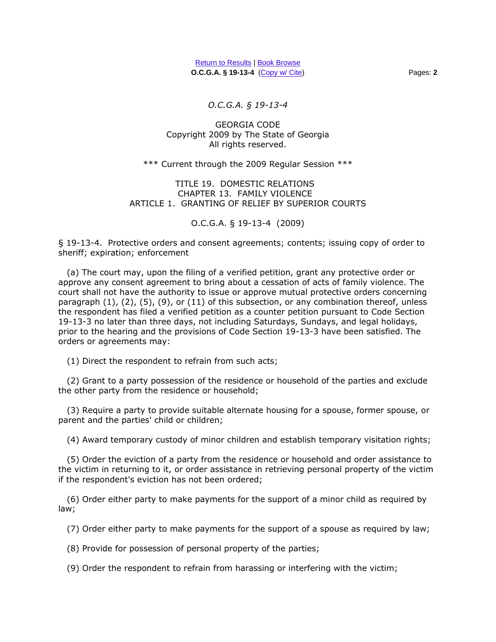*O.C.G.A. § 19-13-4* 

## GEORGIA CODE Copyright 2009 by The State of Georgia All rights reserved.

## \*\*\* Current through the 2009 Regular Session \*\*\*

## TITLE 19. DOMESTIC RELATIONS CHAPTER 13. FAMILY VIOLENCE ARTICLE 1. GRANTING OF RELIEF BY SUPERIOR COURTS

O.C.G.A. § 19-13-4 (2009)

§ 19-13-4. Protective orders and consent agreements; contents; issuing copy of order to sheriff; expiration; enforcement

 (a) The court may, upon the filing of a verified petition, grant any protective order or approve any consent agreement to bring about a cessation of acts of family violence. The court shall not have the authority to issue or approve mutual protective orders concerning paragraph  $(1)$ ,  $(2)$ ,  $(5)$ ,  $(9)$ , or  $(11)$  of this subsection, or any combination thereof, unless the respondent has filed a verified petition as a counter petition pursuant to Code Section 19-13-3 no later than three days, not including Saturdays, Sundays, and legal holidays, prior to the hearing and the provisions of Code Section 19-13-3 have been satisfied. The orders or agreements may:

(1) Direct the respondent to refrain from such acts;

 (2) Grant to a party possession of the residence or household of the parties and exclude the other party from the residence or household;

 (3) Require a party to provide suitable alternate housing for a spouse, former spouse, or parent and the parties' child or children;

(4) Award temporary custody of minor children and establish temporary visitation rights;

 (5) Order the eviction of a party from the residence or household and order assistance to the victim in returning to it, or order assistance in retrieving personal property of the victim if the respondent's eviction has not been ordered;

 (6) Order either party to make payments for the support of a minor child as required by law;

(7) Order either party to make payments for the support of a spouse as required by law;

(8) Provide for possession of personal property of the parties;

(9) Order the respondent to refrain from harassing or interfering with the victim;